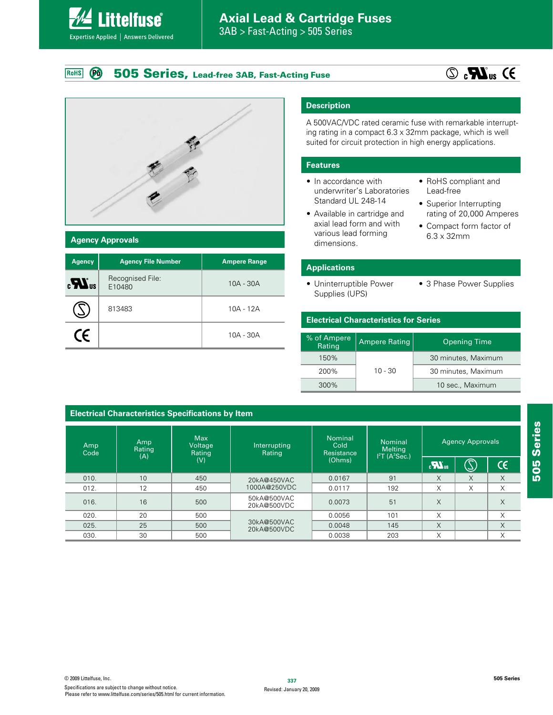### **Axial Lead & Cartridge Fuses**

3AB > Fast-Acting > 505 Series

#### $\boldsymbol{\varphi}$ **505 Series, Lead-free 3AB, Fast-Acting Fuse** RoHS

# $\overline{\mathbb{C}}$  or  $\overline{\mathbf{M}}$  us  $\overline{\mathbb{C}}$



**Littelfuse**®

Expertise Applied | Answers Delivered

#### **Agency Approvals**

| <b>Agency</b>                       | <b>Agency File Number</b>  | <b>Ampere Range</b> |
|-------------------------------------|----------------------------|---------------------|
| $\mathbf{c}$ <b>N</b> <sub>us</sub> | Recognised File:<br>E10480 | $10A - 30A$         |
|                                     | 813483                     | $10A - 12A$         |
| CE.                                 |                            | $10A - 30A$         |

### **Description**

A 500VAC/VDC rated ceramic fuse with remarkable interrupting rating in a compact 6.3 x 32mm package, which is well suited for circuit protection in high energy applications.

#### **Features**

- $\bullet$  In accordance with underwriter's Laboratories Standard UL 248-14
- Available in cartridge and axial lead form and with various lead forming dimensions.
- RoHS compliant and Lead-free
- Superior Interrupting rating of 20,000 Amperes
- Compact form factor of  $6.3 \times 32$ mm

#### **Applications**

• Uninterruptible Power Supplies (UPS)

**Electrical Characteristics for Series**

• 3 Phase Power Supplies

| .                     |                      |                     |  |  |
|-----------------------|----------------------|---------------------|--|--|
| % of Ampere<br>Rating | <b>Ampere Rating</b> | <b>Opening Time</b> |  |  |
| 150%                  |                      | 30 minutes, Maximum |  |  |
| 200%                  | $10 - 30$            | 30 minutes, Maximum |  |  |
| 300%                  |                      | 10 sec., Maximum    |  |  |

| <b>Electrical Characteristics Specifications by Item</b> |                      |                                        |                            |                                                |                                                                 |                                   |    |                        |
|----------------------------------------------------------|----------------------|----------------------------------------|----------------------------|------------------------------------------------|-----------------------------------------------------------------|-----------------------------------|----|------------------------|
| Amp<br>Code                                              | Amp<br>Rating<br>(A) | <b>Max</b><br>Voltage<br>Rating<br>(V) | Interrupting<br>Rating     | <b>Nominal</b><br>Cold<br>Resistance<br>(Ohms) | <b>Nominal</b><br><b>Melting</b><br>$I2T$ (A <sup>2</sup> Sec.) | <b>Agency Approvals</b>           |    |                        |
|                                                          |                      |                                        |                            |                                                |                                                                 | $\epsilon$ <b>N</b> <sub>us</sub> | S) | $\mathsf{c}\mathsf{c}$ |
| 010.                                                     | 10                   | 450                                    | 20kA@450VAC                | 0.0167                                         | 91                                                              | X                                 | X  | $\times$               |
| 012.                                                     | 12                   | 450                                    | 1000A@250VDC               | 0.0117                                         | 192                                                             | X                                 | X  | X                      |
| 016.                                                     | 16                   | 500                                    | 50kA@500VAC<br>20kA@500VDC | 0.0073                                         | 51                                                              | X                                 |    | X                      |
| 020.                                                     | 20                   | 500                                    |                            | 0.0056                                         | 101                                                             | X                                 |    | X                      |
| 025.                                                     | 25                   | 500                                    | 30kA@500VAC<br>20kA@500VDC | 0.0048                                         | 145                                                             | X                                 |    | $\times$               |
| 030.                                                     | 30                   | 500                                    |                            | 0.0038                                         | 203                                                             | X                                 |    | X                      |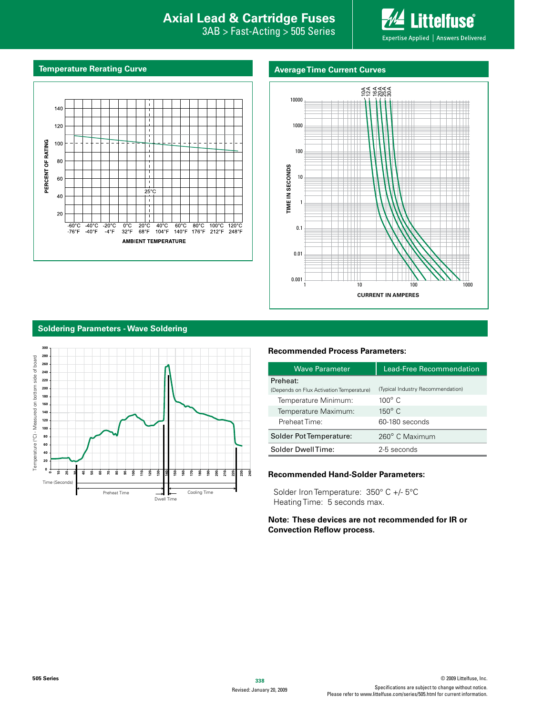### **Interproduction Interacts Axial Lead & Cartridge Fuses**

3AB > Fast-Acting > 505 Series



Expertise Applied | Answers Delivered

#### **Temperature Rerating Curve Average Time Current Curves**





**Soldering Parameters - Wave Soldering**



#### **Recommended Process Parameters:**

| <b>Wave Parameter</b>                    | Lead-Eree Recommendation          |  |  |
|------------------------------------------|-----------------------------------|--|--|
| Preheat:                                 |                                   |  |  |
| (Depends on Flux Activation Temperature) | (Typical Industry Recommendation) |  |  |
| Temperature Minimum:                     | $100^{\circ}$ C.                  |  |  |
| Temperature Maximum:                     | $150^\circ$ C                     |  |  |
| Preheat Time:                            | 60-180 seconds                    |  |  |
| Solder Pot Temperature:                  | 260° C Maximum                    |  |  |
| Solder DwellTime:                        | 2-5 seconds                       |  |  |

#### **Recommended Hand-Solder Parameters:**

Solder Iron Temperature: 350° C +/- 5°C Heating Time: 5 seconds max.

**Note: These devices are not recommended for IR or Convection Reflow process.**